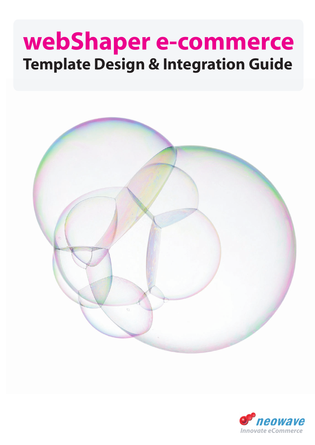# **webShaper e-commerce Template Design & Integration Guide**



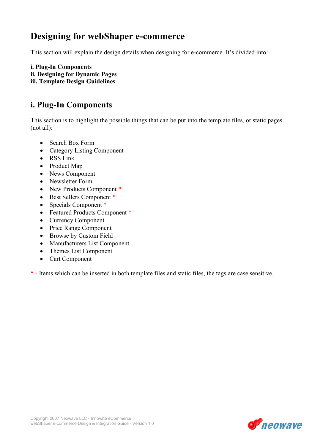## Designing for webShaper e-commerce

This section will explain the design details when designing for e-commerce. It's divided into:

i. Plug-In Components ii. Designing for Dynamic Pages iii. Template Design Guidelines

### i. Plug-In Components

This section is to highlight the possible things that can be put into the template files, or static pages (not all):

- Search Box Form
- Category Listing Component
- RSS Link
- Product Map
- News Component
- Newsletter Form
- New Products Component \*
- Best Sellers Component \*
- Specials Component \*
- Featured Products Component \*
- Currency Component
- Price Range Component
- Browse by Custom Field
- Manufacturers List Component
- Themes List Component
- Cart Component

\* - Items which can be inserted in both template files and static files, the tags are case sensitive.

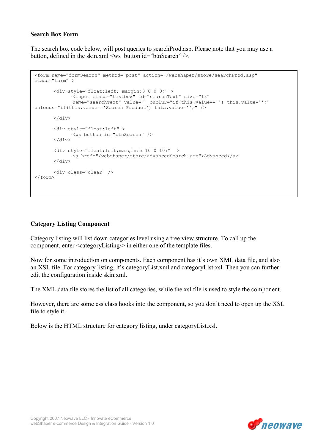#### Search Box Form

The search box code below, will post queries to searchProd.asp. Please note that you may use a button, defined in the skin.xml  $\langle$ ws button id="btnSearch" />.

```
<form name="formSearch" method="post" action="/webshaper/store/searchProd.asp" 
class="form" > 
        <div style="float:left; margin:3 0 0 0;" > 
               <input class="textbox" id="searchText" size="18" 
              name="searchText" value="" onblur="if(this.value=='') this.value='';"
onfocus="if(this.value=='Search Product') this.value='';" /> 
        </div> 
        <div style="float:left" > 
              <ws_button id="btnSearch" /> 
       \langle div>
        <div style="float:left;margin:5 10 0 10;" > 
              <a href="/webshaper/store/advancedSearch.asp">Advanced</a> 
       \langle/div\rangle <div class="clear" /> 
</form>
```
#### Category Listing Component

Category listing will list down categories level using a tree view structure. To call up the component, enter <categoryListing/> in either one of the template files.

Now for some introduction on components. Each component has it's own XML data file, and also an XSL file. For category listing, it's categoryList.xml and categoryList.xsl. Then you can further edit the configuration inside skin.xml.

The XML data file stores the list of all categories, while the xsl file is used to style the component.

However, there are some css class hooks into the component, so you don't need to open up the XSL file to style it.

Below is the HTML structure for category listing, under categoryList.xsl.

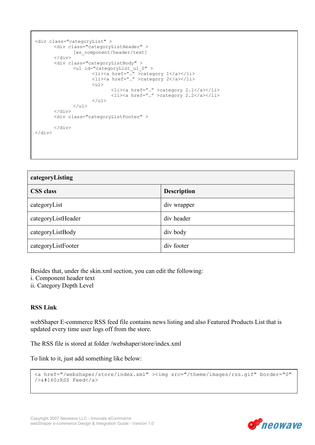```
<div class="categoryList" > 
        <div class="categoryListHeader" > 
               [ws_component/header/text] 
        </div> 
        <div class="categoryListBody" > 
 <ul id="categoryList_ul_0" > 
 <li><a href="…" >category 1</a></li> 
                      <li><a href="…" >category 2</a></li> 
                     \langle u1 \rangle <li><a href="…" >category 2.1</a></li> 
                             <li><a href="…" >category 2.2</a></li> 
                     \langle/ul>
              \langle/ul>
       \langlediv>
        <div class="categoryListFooter" > 
       \langlediv>
\langlediv>
```

| categoryListing    |                    |  |
|--------------------|--------------------|--|
| <b>CSS</b> class   | <b>Description</b> |  |
| categoryList       | div wrapper        |  |
| categoryListHeader | div header         |  |
| categoryListBody   | div body           |  |
| categoryListFooter | div footer         |  |

Besides that, under the skin.xml section, you can edit the following:

- i. Component header text
- ii. Category Depth Level

#### RSS Link

webShaper E-commerce RSS feed file contains news listing and also Featured Products List that is updated every time user logs off from the store.

The RSS file is stored at folder /webshaper/store/index.xml

To link to it, just add something like below:

```
<a href="/webshaper/store/index.xml" ><img src="/theme/images/rss.gif" border="0" 
/> RSS Feed</a>
```
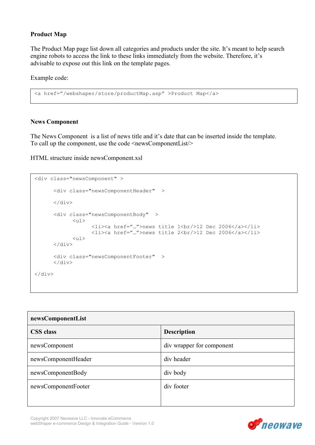#### Product Map

The Product Map page list down all categories and products under the site. It's meant to help search engine robots to access the link to these links immediately from the website. Therefore, it's advisable to expose out this link on the template pages.

Example code:

```
<a href="/webshaper/store/productMap.asp" >Product Map</a>
```
#### News Component

The News Component is a list of news title and it's date that can be inserted inside the template. To call up the component, use the code  $\leq$ newsComponentList $\geq$ 

HTML structure inside newsComponent.xsl

```
<div class="newsComponent" > 
        <div class="newsComponentHeader" > 
       \langle div>
        <div class="newsComponentBody" > 
               <sub>u</sub>1></sub>
                       <li><a href="…">news title 1<br/>12 Dec 2006</a></li> 
                       <li><a href="…">news title 2<br/>12 Dec 2006</a></li> 
               <sub>u1></sub></sub>
       \langle div>
        <div class="newsComponentFooter" > 
       \langlediv\rangle\langle div>
```

| newsComponentList   |                           |
|---------------------|---------------------------|
| <b>CSS</b> class    | <b>Description</b>        |
| newsComponent       | div wrapper for component |
| newsComponentHeader | div header                |
| newsComponentBody   | div body                  |
| newsComponentFooter | div footer                |

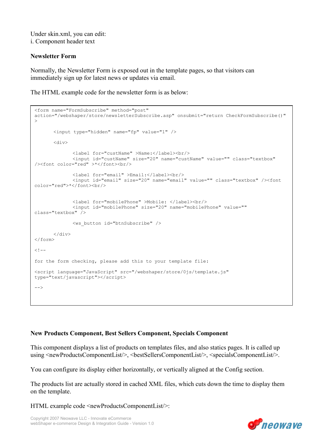Under skin.xml, you can edit: i. Component header text

#### Newsletter Form

Normally, the Newsletter Form is exposed out in the template pages, so that visitors can immediately sign up for latest news or updates via email.

The HTML example code for the newsletter form is as below:

```
<form name="FormSubscribe" method="post" 
action="/webshaper/store/newsletterSubscribe.asp" onsubmit="return CheckFormSubscribe()" 
\rightarrow <input type="hidden" name="fp" value="1" /> 
        <div> 
               <label for="custName" >Name:</label><br/> 
               <input id="custName" size="20" name="custName" value="" class="textbox" 
/><font color="red" >*</font><br/> 
               <label for="email" >Email:</label><br/> 
               <input id="email" size="20" name="email" value="" class="textbox" /><font 
color="red">*</font><br/>
               <label for="mobilePhone" >Mobile: </label><br/> 
               <input id="mobilePhone" size="20" name="mobilePhone" value="" 
class="textbox" /> 
               <ws_button id="btnSubscribe" /> 
       \langlediv>
\langle/form>
< 1 - -for the form checking, please add this to your template file: 
<script language="JavaScript" src="/webshaper/store/0js/template.js" 
type="text/javascript"></script> 
-->
```
#### New Products Component, Best Sellers Component, Specials Component

This component displays a list of products on templates files, and also statics pages. It is called up using <newProductsComponentList/>, <br/>bestSellersComponentList/>, <specialsComponentList/>.

You can configure its display either horizontally, or vertically aligned at the Config section.

The products list are actually stored in cached XML files, which cuts down the time to display them on the template.

HTML example code <newProductsComponentList/>:

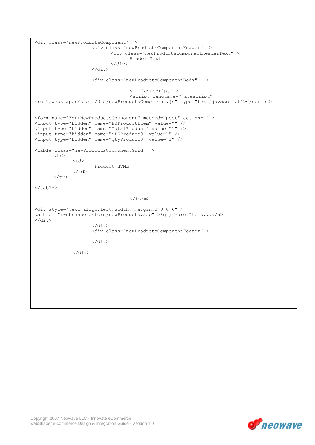```
<div class="newProductsComponent" > 
                       <div class="newProductsComponentHeader" > 
                              <div class="newProductsComponentHeaderText" > 
                                     Header Text 
                             \langle/div\rangle\langle div>
                       <div class="newProductsComponentBody" > 
                                     <!--javascript--> 
                                     <script language="javascript" 
src="/webshaper/store/0js/newProductsComponent.js" type="text/javascript"></script> 
<form name="FormNewProductsComponent" method="post" action="" > 
<input type="hidden" name="PKProductItem" value="" /> 
<input type="hidden" name="TotalProduct" value="1" /> 
<input type="hidden" name="iPKProduct0" value="" />
<input type="hidden" name="qtyProduct0" value="1" /> 
<table class="newProductsComponentGrid" > 
       <tr>
              <hd>
                      [Product HTML] 
              \langle t \rangle\langle/tr>
</table> 
                                     </form> 
<div style="text-align:left;width:;margin:0 0 0 6" > 
<a href="/webshaper/store/newProducts.asp" > &qt; More Items...</a>
</div> 
                       </div> 
                       <div class="newProductsComponentFooter" > 
                      \langle/div>
               </div>
```
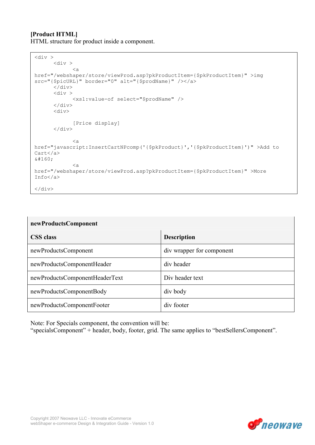#### [Product HTML] HTML structure for product inside a component.

```
\langle \text{div} \rangle\langlediv >
               <a 
href="/webshaper/store/viewProd.asp?pkProductItem={$pkProductItem}" >img 
src="{$picURL}" border="0" alt="{$prodName}" /></a>
       \langlediv>
       \langlediv >
               <xsl:value-of select="$prodName" /> 
       \langle div>
        <div> 
              [Price display] 
       \langle/div\rangle <a 
href="javascript:InsertCartNPcomp('{$pkProduct}','{$pkProductItem}')" >Add to 
Cart</a> 
 \langle ahref="/webshaper/store/viewProd.asp?pkProductItem={$pkProductItem}" >More 
Info</a> 
</div>
```

| newProductsComponent           |                           |  |
|--------------------------------|---------------------------|--|
| <b>CSS</b> class               | <b>Description</b>        |  |
| newProductsComponent           | div wrapper for component |  |
| newProductsComponentHeader     | div header                |  |
| newProductsComponentHeaderText | Div header text           |  |
| newProductsComponentBody       | div body                  |  |
| newProductsComponentFooter     | div footer                |  |

Note: For Specials component, the convention will be:

"specialsComponent" + header, body, footer, grid. The same applies to "bestSellersComponent".

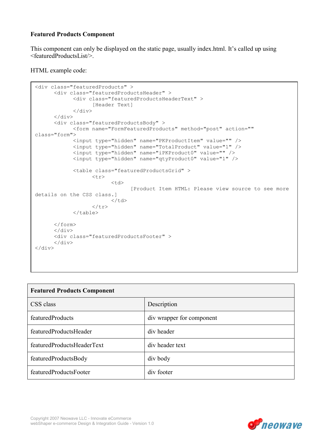#### Featured Products Component

This component can only be displayed on the static page, usually index.html. It's called up using <featuredProductsList/>.

```
<div class="featuredProducts" > 
       <div class="featuredProductsHeader" > 
              <div class="featuredProductsHeaderText" > 
                     [Header Text] 
             \langlediv>
      \langle div>
       <div class="featuredProductsBody" > 
              <form name="FormFeaturedProducts" method="post" action="" 
class="form"> 
              <input type="hidden" name="PKProductItem" value="" /> 
              <input type="hidden" name="TotalProduct" value="1" /> 
              <input type="hidden" name="iPKProduct0" value="" /> 
              <input type="hidden" name="qtyProduct0" value="1" /> 
              <table class="featuredProductsGrid" > 
                    <tr>
                            <td> 
                                  [Product Item HTML: Please view source to see more 
details on the CSS class.] 
                           \langle t + d \rangle\langle/tr>
              </table> 
       </form> 
       </div> 
       <div class="featuredProductsFooter" > 
       </div> 
</div>
```

| <b>Featured Products Component</b> |                           |
|------------------------------------|---------------------------|
| CSS class                          | Description               |
| featuredProducts                   | div wrapper for component |
| featuredProductsHeader             | div header                |
| featuredProductsHeaderText         | div header text           |
| featuredProductsBody               | div body                  |
| featuredProductsFooter             | div footer                |



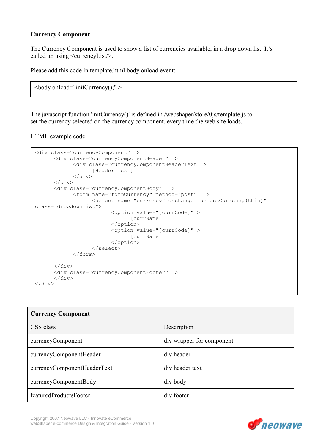#### Currency Component

The Currency Component is used to show a list of currencies available, in a drop down list. It's called up using <currencyList/>.

Please add this code in template.html body onload event:

```
\text{<}body onload="initCurrency();" >
```
The javascript function 'initCurrency()' is defined in /webshaper/store/0js/template.js to set the currency selected on the currency component, every time the web site loads.

```
<div class="currencyComponent" > 
       <div class="currencyComponentHeader" > 
              <div class="currencyComponentHeaderText" > 
                    [Header Text] 
             \langle/div\rangle\langlediv>
       <div class="currencyComponentBody" > 
              <form name="formCurrency" method="post" > 
                     <select name="currency" onchange="selectCurrency(this)" 
class="dropdownlist"> 
                            <option value="[currCode]" > 
                                  [currName] 
                            </option> 
                            <option value="[currCode]" > 
                                  [currName] 
                            </option> 
                     </select> 
              </form> 
       </div> 
       <div class="currencyComponentFooter" > 
      \langle div>
</div>
```

| <b>Currency Component</b>   |                           |
|-----------------------------|---------------------------|
| CSS class                   | Description               |
| currencyComponent           | div wrapper for component |
| currencyComponentHeader     | div header                |
| currencyComponentHeaderText | div header text           |
| currencyComponentBody       | div body                  |
| featuredProductsFooter      | div footer                |



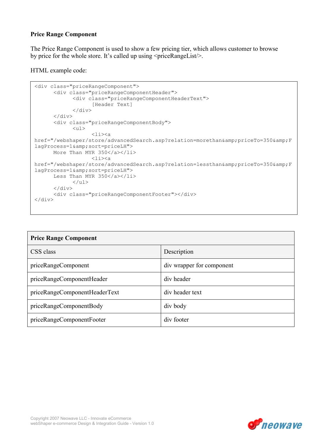#### Price Range Component

The Price Range Component is used to show a few pricing tier, which allows customer to browse by price for the whole store. It's called up using  $\langle$ priceRangeList $\rangle$ .

```
<div class="priceRangeComponent"> 
       <div class="priceRangeComponentHeader"> 
             <div class="priceRangeComponentHeaderText"> 
                   [Header Text] 
             </div> 
       </div> 
       <div class="priceRangeComponentBody"> 
             <ul> 
\langleli>a
href="/webshaper/store/advancedSearch.asp?relation=morethan&priceTo=350&F
lagProcess=1& sort=priceLH">
      More Than MYR 350</a></li>
                  \langleli>\zetaa
href="/webshaper/store/advancedSearch.asp?relation=lessthan&priceTo=350&F
lagProcess=1& sort=priceLH">
      Less Than MYR 350</a></li>
            \langle/ul>
      \langle/div\rangle <div class="priceRangeComponentFooter"></div> 
</div>
```

| <b>Price Range Component</b>  |                           |
|-------------------------------|---------------------------|
| CSS class                     | Description               |
| priceRangeComponent           | div wrapper for component |
| priceRangeComponentHeader     | div header                |
| priceRangeComponentHeaderText | div header text           |
| priceRangeComponentBody       | div body                  |
| priceRangeComponentFooter     | div footer                |

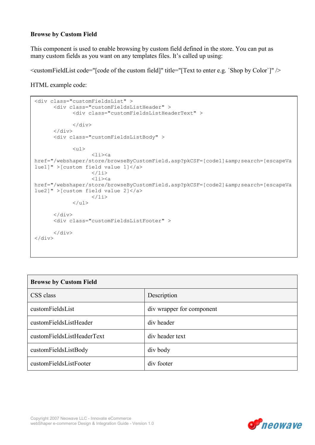#### Browse by Custom Field

This component is used to enable browsing by custom field defined in the store. You can put as many custom fields as you want on any templates files. It's called up using:

 $\leq$ customFieldList code="[code of the custom field]" title="[Text to enter e.g. `Shop by Color`]" />

```
<div class="customFieldsList" > 
        <div class="customFieldsListHeader" > 
               <div class="customFieldsListHeaderText" > 
              \langle/div\rangle\langle div>
        <div class="customFieldsListBody" > 
              \langle u1\rangle\langleli>\zetaa
href="/webshaper/store/browseByCustomField.asp?pkCSF=[code1]&search=[escapeVa
lue1]" >[custom field value 1]</a> 
                     \langle/li>
                     \langleli>\xa
href="/webshaper/store/browseByCustomField.asp?pkCSF=[code2]&search=[escapeVa
lue2]" >[custom field value 2]</a> 
                     \langle/li>
              \langle/ul>
       \langlediv> <div class="customFieldsListFooter" > 
        </div> 
\langlediv>
```

| <b>Browse by Custom Field</b> |                           |
|-------------------------------|---------------------------|
| CSS class                     | Description               |
| customFieldsList              | div wrapper for component |
| customFieldsListHeader        | div header                |
| customFieldsListHeaderText    | div header text           |
| customFieldsListBody          | div body                  |
| customFieldsListFooter        | div footer                |

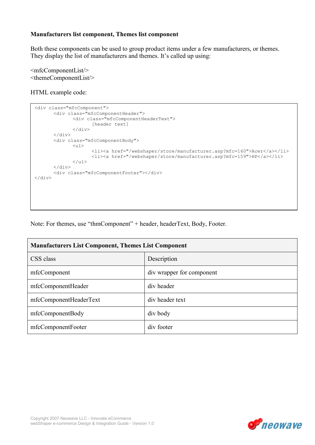#### Manufacturers list component, Themes list component

Both these components can be used to group product items under a few manufacturers, or themes. They display the list of manufacturers and themes. It's called up using:

<mfcComponentList/> <themeComponentList/>

HTML example code:

```
<div class="mfcComponent"> 
        <div class="mfcComponentHeader"> 
                <div class="mfcComponentHeaderText"> 
                        [header text] 
               \langle/div\rangle\langle div>
        <div class="mfcComponentBody"> 
               <sub>ul</sub></sub>
                        <li><a href="/webshaper/store/manufacturer.asp?mfc=160">Acer</a></li> 
                        <li><a href="/webshaper/store/manufacturer.asp?mfc=159">HP</a></li> 
               \langle/ul> </div> 
        <div class="mfcComponentFooter"></div> 
</div>
```
Note: For themes, use "thmComponent" + header, headerText, Body, Footer.

| <b>Manufacturers List Component, Themes List Component</b> |                           |
|------------------------------------------------------------|---------------------------|
| CSS class                                                  | Description               |
| mfcComponent                                               | div wrapper for component |
| mfcComponentHeader                                         | div header                |
| mfcComponentHeaderText                                     | div header text           |
| mfcComponentBody                                           | div body                  |
| mfcComponentFooter                                         | div footer                |

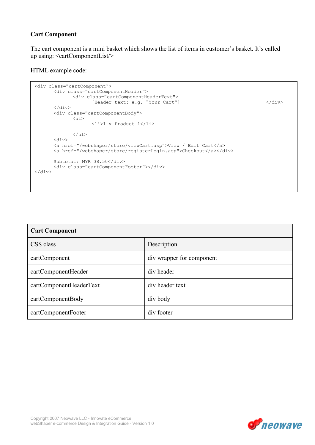#### Cart Component

The cart component is a mini basket which shows the list of items in customer's basket. It's called up using: <cartComponentList/>

```
<div class="cartComponent"> 
       <div class="cartComponentHeader"> 
              <div class="cartComponentHeaderText"> 
                    [Header text: e.g. "Your Cart"] </div>
      \langle/div\rangle <div class="cartComponentBody"> 
             <sub>ul</sub></sub>
                     <li>1 x Product 1</li> 
             \langle/ul> <div> 
 <a href="/webshaper/store/viewCart.asp">View / Edit Cart</a> 
 <a href="/webshaper/store/registerLogin.asp">Checkout</a></div> 
      Subtotal: MYR 38.50</div>
       <div class="cartComponentFooter"></div> 
\langlediv>
```

| <b>Cart Component</b>   |                           |
|-------------------------|---------------------------|
| CSS class               | Description               |
| cartComponent           | div wrapper for component |
| cartComponentHeader     | div header                |
| cartComponentHeaderText | div header text           |
| cartComponentBody       | div body                  |
| cartComponentFooter     | div footer                |

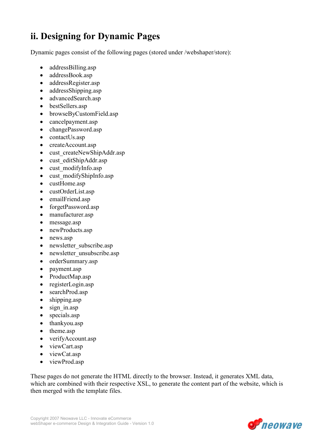## ii. Designing for Dynamic Pages

Dynamic pages consist of the following pages (stored under /webshaper/store):

- addressBilling.asp
- addressBook.asp
- addressRegister.asp
- addressShipping.asp
- advancedSearch.asp
- bestSellers.asp
- browseByCustomField.asp
- cancelpayment.asp
- changePassword.asp
- contactUs.asp
- createAccount.asp
- cust createNewShipAddr.asp
- cust editShipAddr.asp
- cust modifyInfo.asp
- cust modifyShipInfo.asp
- custHome.asp
- custOrderList.asp
- emailFriend.asp
- forgetPassword.asp
- manufacturer.asp
- message.asp
- newProducts.asp
- news.asp
- newsletter subscribe.asp
- newsletter unsubscribe.asp
- orderSummary.asp
- payment.asp
- ProductMap.asp
- registerLogin.asp
- searchProd.asp
- shipping.asp
- sign in.asp
- specials.asp
- thankyou.asp
- theme.asp
- verifyAccount.asp
- viewCart.asp
- viewCat.asp
- viewProd.asp

These pages do not generate the HTML directly to the browser. Instead, it generates XML data, which are combined with their respective XSL, to generate the content part of the website, which is then merged with the template files.

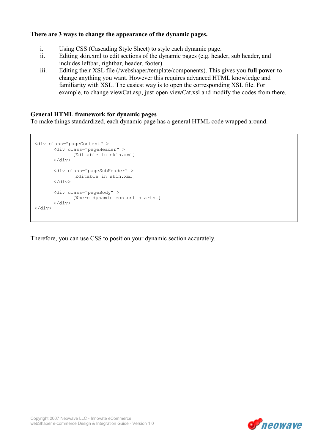#### There are 3 ways to change the appearance of the dynamic pages.

- i. Using CSS (Cascading Style Sheet) to style each dynamic page.
- ii. Editing skin.xml to edit sections of the dynamic pages (e.g. header, sub header, and includes leftbar, rightbar, header, footer)
- iii. Editing their XSL file (/webshaper/template/components). This gives you full power to change anything you want. However this requires advanced HTML knowledge and familiarity with XSL. The easiest way is to open the corresponding XSL file. For example, to change viewCat.asp, just open viewCat.xsl and modify the codes from there.

#### General HTML framework for dynamic pages

To make things standardized, each dynamic page has a general HTML code wrapped around.

```
<div class="pageContent" > 
       <div class="pageHeader" > 
             [Editable in skin.xml] 
      \langlediv\rangle <div class="pageSubHeader" > 
             [Editable in skin.xml] 
       </div> 
 <div class="pageBody" > 
 [Where dynamic content starts…] 
 </div> 
</div>
```
Therefore, you can use CSS to position your dynamic section accurately.

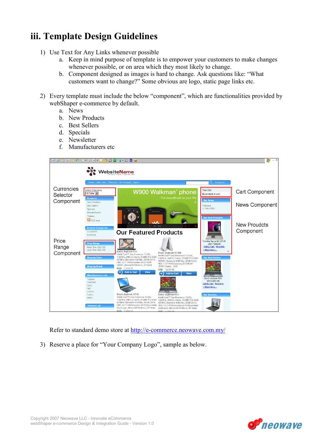## iii. Template Design Guidelines

- 1) Use Text for Any Links whenever possible
	- a. Keep in mind purpose of template is to empower your customers to make changes whenever possible, or on area which they most likely to change.
	- b. Component designed as images is hard to change. Ask questions like: "What customers want to change?" Some obvious are logo, static page links etc.
- 2) Every template must include the below "component", which are functionalities provided by webShaper e-commerce by default.
	- a. News
	- b. New Products
	- c. Best Sellers
	- d. Specials
	- e. Newsletter
	- f. Manufacturers etc



Refer to standard demo store at http://e-commerce.neowave.com.my/

3) Reserve a place for "Your Company Logo", sample as below.

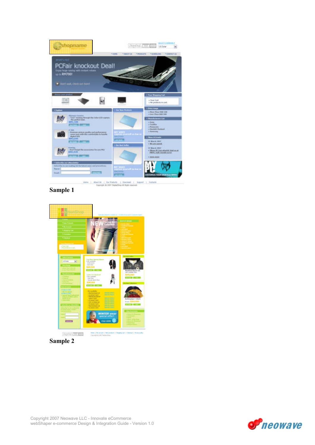

Sample 1



Sample 2

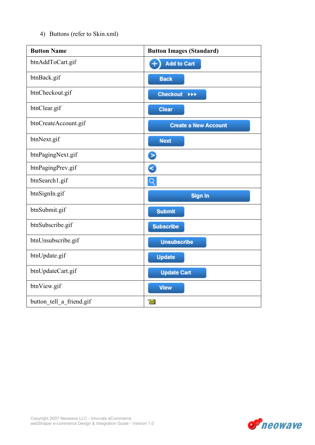4) Buttons (refer to Skin.xml)

| <b>Button Name</b>       | <b>Button Images (Standard)</b> |
|--------------------------|---------------------------------|
| btnAddToCart.gif         | <b>Add to Cart</b><br>$\ddot{}$ |
| btnBack.gif              | <b>Back</b>                     |
| btnCheckout.gif          | <b>Checkout</b><br><b>FFF</b>   |
| btnClear.gif             | <b>Clear</b>                    |
| btnCreateAccount.gif     | <b>Create a New Account</b>     |
| btnNext.gif              | <b>Next</b>                     |
| btnPagingNext.gif        | Θ                               |
| btnPagingPrev.gif        | B                               |
| btnSearch1.gif           | $\mathsf{Q}$                    |
| btnSignIn.gif            | Sign In                         |
| btnSubmit.gif            | <b>Submit</b>                   |
| btnSubscribe.gif         | <b>Subscribe</b>                |
| btnUnsubscribe.gif       | <b>Unsubscribe</b>              |
| btnUpdate.gif            | <b>Update</b>                   |
| btnUpdateCart.gif        | <b>Update Cart</b>              |
| btnView.gif              | <b>View</b>                     |
| button_tell_a_friend.gif | $\boldsymbol{\times}$           |